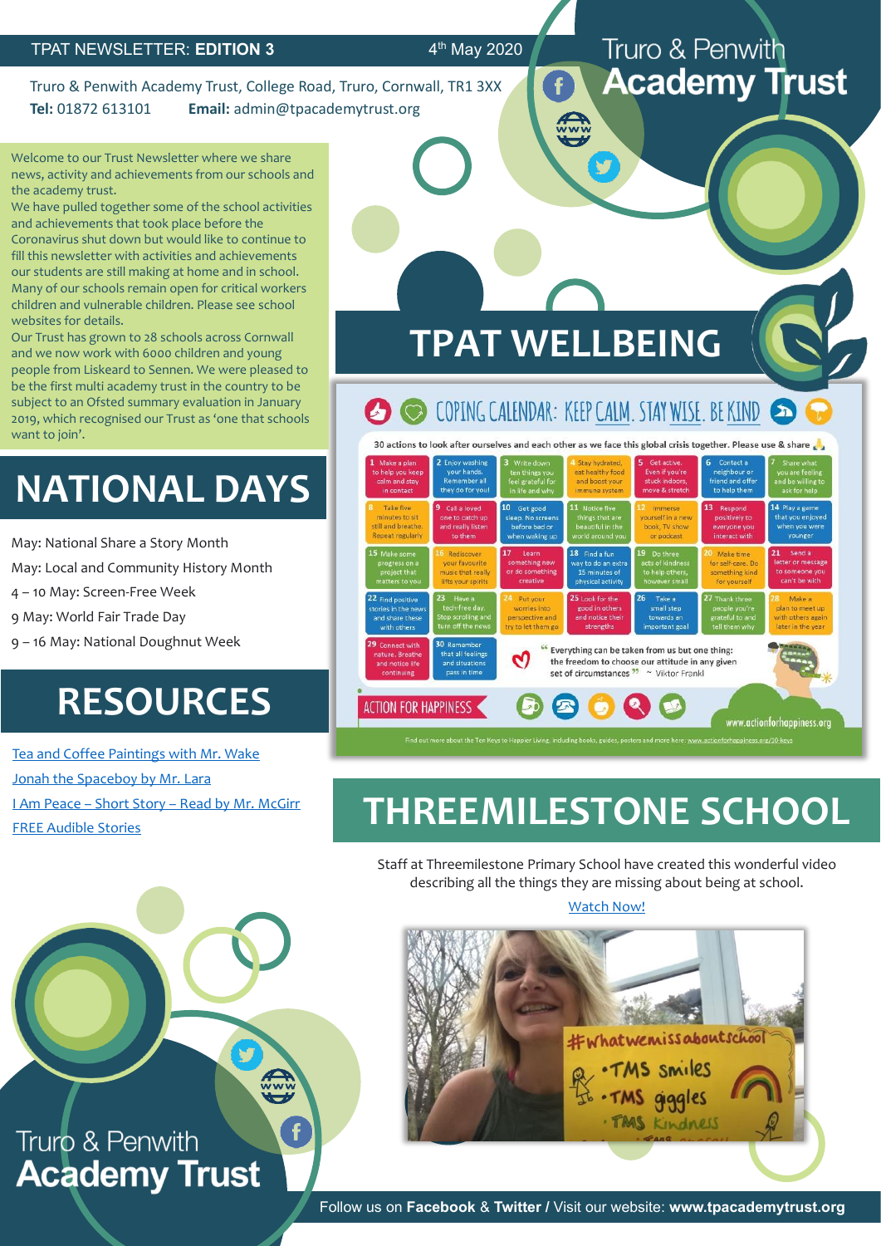#### $4<sup>th</sup>$  May 2020

Truro & Penwith Academy Trust, College Road, Truro, Cornwall, TR1 3XX **Tel:** 01872 613101 **Email:** admin@tpacademytrust.org

Welcome to our Trust Newsletter where we share news, activity and achievements from our schools and the academy trust.

We have pulled together some of the school activities and achievements that took place before the Coronavirus shut down but would like to continue to fill this newsletter with activities and achievements our students are still making at home and in school. Many of our schools remain open for critical workers children and vulnerable children. Please see school websites for details.

Our Trust has grown to 28 schools across Cornwall and we now work with 6000 children and young people from Liskeard to Sennen. We were pleased to be the first multi academy trust in the country to be subject to an Ofsted summary evaluation in January 2019, which recognised our Trust as 'one that schools want to join'.

# **NATIONAL DAYS**

May: National Share a Story Month

May: Local and Community History Month

4 – 10 May: Screen-Free Week

9 May: World Fair Trade Day

9 – 16 May: National Doughnut Week

## **RESOURCES**

[Tea and Coffee Paintings with Mr. Wake](https://www.youtube.com/watch?v=YLgab6RKSdY&feature=youtu.be&fbclid=IwAR08E4zgu15eerXHKvSBTxI3h8j0t6XFnI2jElFG5Qyu62YatDcN6yJoHd8) [Jonah the Spaceboy by Mr. Lara](https://www.youtube.com/watch?v=HrKror7hJJQ&fbclid=IwAR0MKCtm_0TgloQ4BOSuiBAs-kF_60AEts523zYQgBbxA8qiCVTd50xidnE) I Am Peace – Short Story – [Read by Mr. McGirr](https://www.youtube.com/watch?v=77ZInkVEbis&fbclid=IwAR1Gjtk737fJzqY5xBOOidyAbGR0bnT_LAID7luvkx6NzBnNNdFfsIT-vTI) [FREE Audible Stories](https://stories.audible.com/start-listen)



Truro & Penwith

**Academy Trust** 

www.actionforhappiness.org

**TPAT WELLBEING**

**ACTION FOR HAPPINESS** 

# **THREEMILESTONE SCHOOL**

Staff at Threemilestone Primary School have created this wonderful video describing all the things they are missing about being at school.

#### [Watch Now!](https://www.youtube.com/watch?time_continue=4&v=Ko9qLVaRmlw&feature=emb_logo&fbclid=IwAR1z_eK7FkNIknA9p3aL1VS1Pjkpibw3ZSvPEg9C9Icy4ogiC57BnaXEA4I)



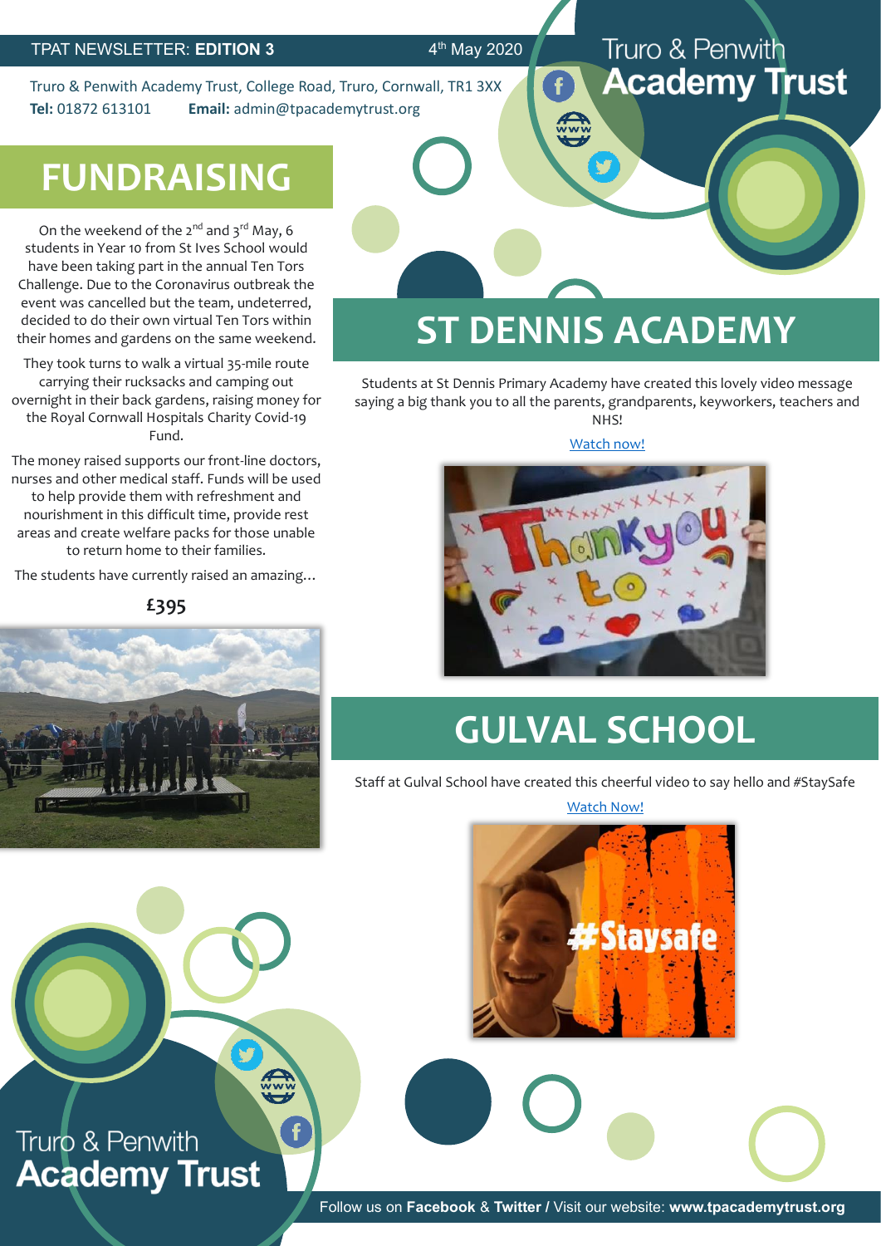$4<sup>th</sup>$  May 2020

Truro & Penwith Academy Trust, College Road, Truro, Cornwall, TR1 3XX **Tel:** 01872 613101 **Email:** admin@tpacademytrust.org

#### Truro & Penwith **Academy Trust**

# **FUNDRAISING**

On the weekend of the  $2^{nd}$  and  $3^{rd}$  May, 6 students in Year 10 from St Ives School would have been taking part in the annual Ten Tors Challenge. Due to the Coronavirus outbreak the event was cancelled but the team, undeterred, decided to do their own virtual Ten Tors within their homes and gardens on the same weekend.

They took turns to walk a virtual 35-mile route carrying their rucksacks and camping out overnight in their back gardens, raising money for the Royal Cornwall Hospitals Charity Covid-19 Fund.

The money raised supports our front-line doctors, nurses and other medical staff. Funds will be used to help provide them with refreshment and nourishment in this difficult time, provide rest areas and create welfare packs for those unable to return home to their families.

The students have currently raised an amazing…

**£395**



# **ST DENNIS ACADEMY**

Students at St Dennis Primary Academy have created this lovely video message saying a big thank you to all the parents, grandparents, keyworkers, teachers and NHS!

[Watch now!](https://www.facebook.com/stdennisprimaryacademy/videos/2747186765390352/?v=2747186765390352)



# **GULVAL SCHOOL**

Staff at Gulval School have created this cheerful video to say hello and #StaySafe

[Watch Now!](https://www.facebook.com/gulvalschool/videos/618191738909478/?v=618191738909478)



Truro & Penwith **Academy Trust** 

**ANY**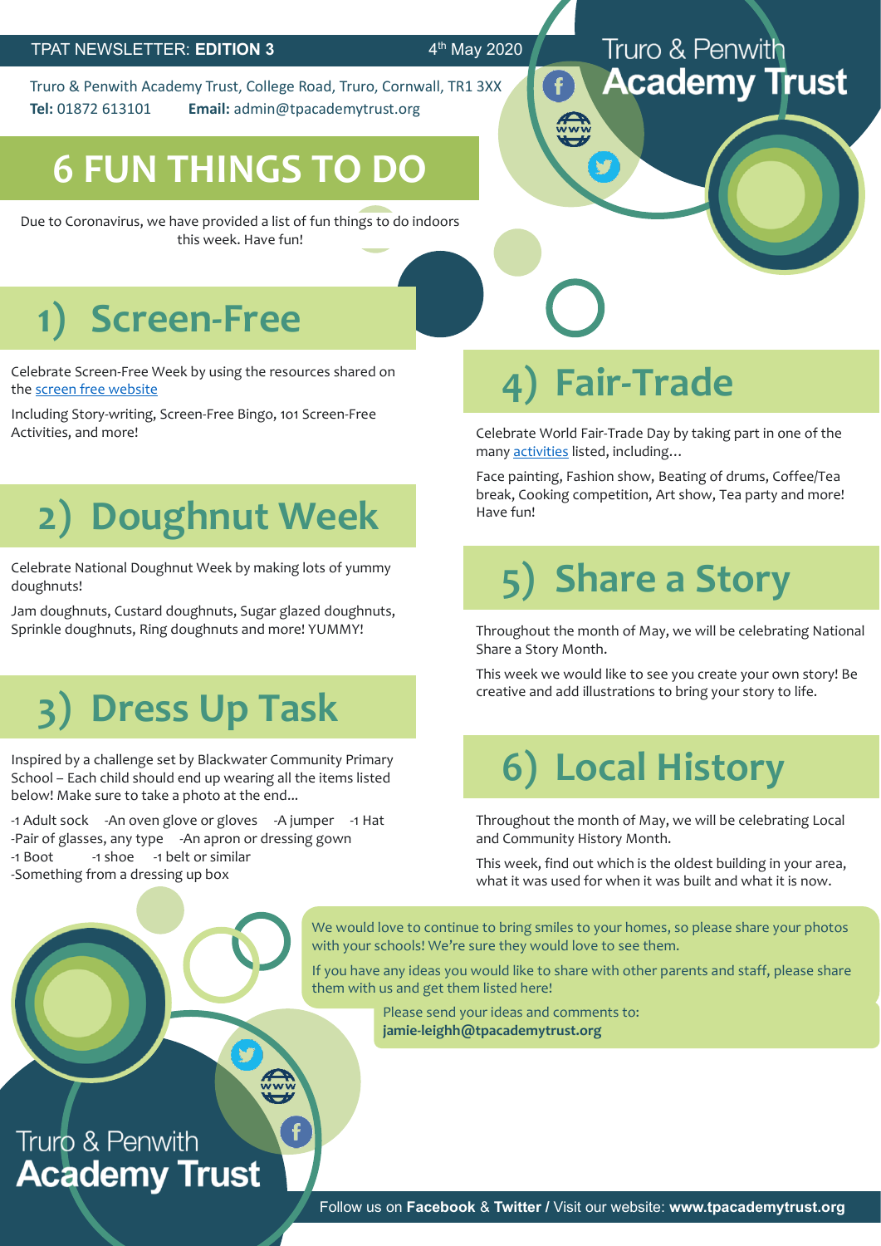#### $4<sup>th</sup>$  May 2020

Truro & Penwith Academy Trust, College Road, Truro, Cornwall, TR1 3XX **Tel:** 01872 613101 **Email:** admin@tpacademytrust.org

## **6 FUN THINGS TO DO**

Due to Coronavirus, we have provided a list of fun things to do indoors this week. Have fun!

#### Truro & Penwith **Academy Trust**

# **1) Screen-Free**

Celebrate Screen-Free Week by using the resources shared on the [screen free website](https://www.screenfree.org/resources/)

Including Story-writing, Screen-Free Bingo, 1o1 Screen-Free Activities, and more!

# **2) Doughnut Week**

Celebrate National Doughnut Week by making lots of yummy doughnuts!

Jam doughnuts, Custard doughnuts, Sugar glazed doughnuts, Sprinkle doughnuts, Ring doughnuts and more! YUMMY!

# **3) Dress Up Task**

Inspired by a challenge set by Blackwater Community Primary School – Each child should end up wearing all the items listed below! Make sure to take a photo at the end...

-1 Adult sock -An oven glove or gloves -A jumper -1 Hat -Pair of glasses, any type -An apron or dressing gown -1 Boot -1 shoe -1 belt or similar -Something from a dressing up box

# **4) Fair-Trade**

Celebrate World Fair-Trade Day by taking part in one of the many [activities](https://wfto.com/sites/default/files/Ideas%20for%20WFTDay%20events.pdf) listed, including...

Face painting, Fashion show, Beating of drums, Coffee/Tea break, Cooking competition, Art show, Tea party and more! Have fun!

# **5) Share a Story**

Throughout the month of May, we will be celebrating National Share a Story Month.

This week we would like to see you create your own story! Be creative and add illustrations to bring your story to life.

# **6) Local History**

Throughout the month of May, we will be celebrating Local and Community History Month.

This week, find out which is the oldest building in your area, what it was used for when it was built and what it is now.

We would love to continue to bring smiles to your homes, so please share your photos with your schools! We're sure they would love to see them.

If you have any ideas you would like to share with other parents and staff, please share them with us and get them listed here!

> Please send your ideas and comments to: **jamie-leighh@tpacademytrust.org**

### Truro & Penwith **Academy Trust**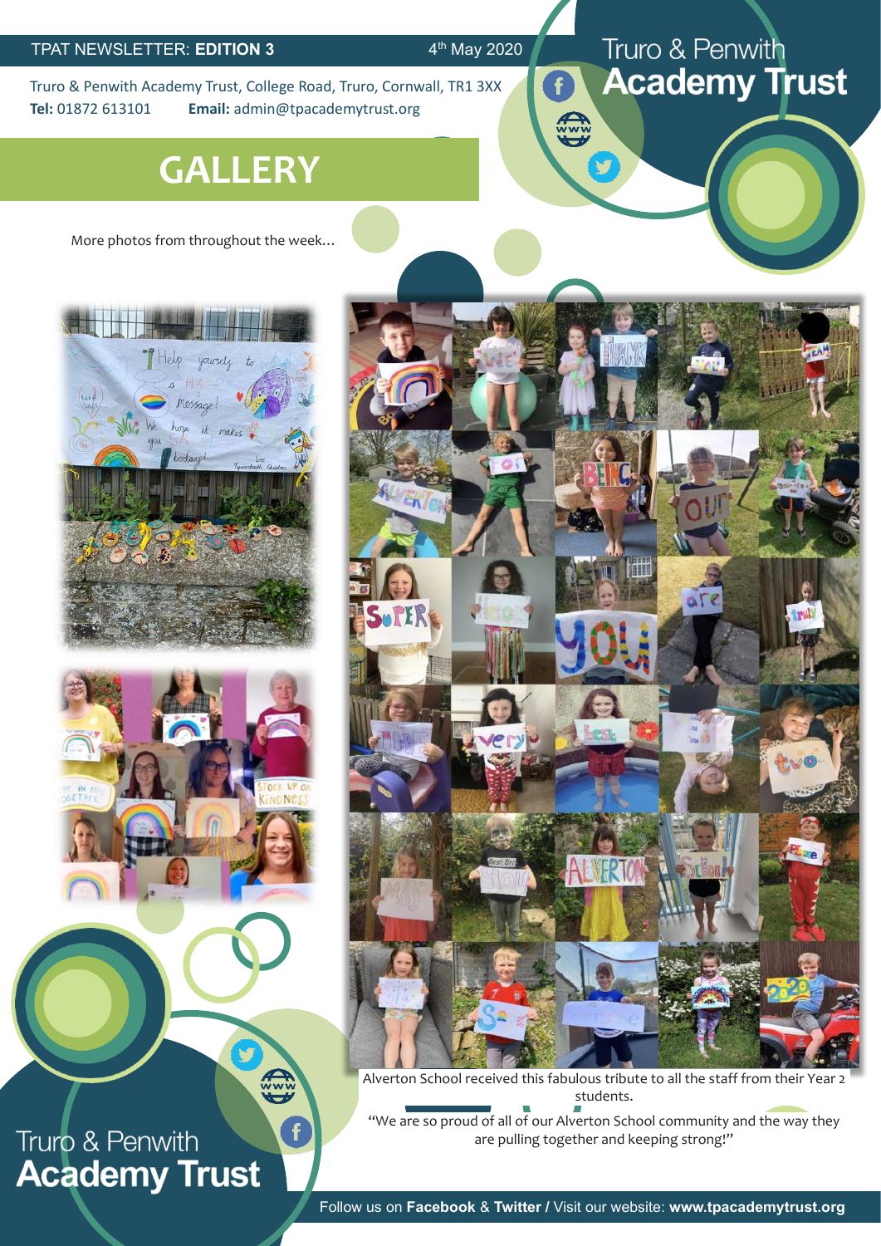$4<sup>th</sup>$  May 2020

**Azir** 

Truro & Penwith Academy Trust, College Road, Truro, Cornwall, TR1 3XX **Tel:** 01872 613101 **Email:** admin@tpacademytrust.org

## **GALLERY**

More photos from throughout the week…





V

E

F

## Truro & Penwith **Academy Trust**



Truro & Penwith

**Academy Trust** 

Alverton School received this fabulous tribute to all the staff from their Year 2 students.

"We are so proud of all of our Alverton School community and the way they are pulling together and keeping strong!"